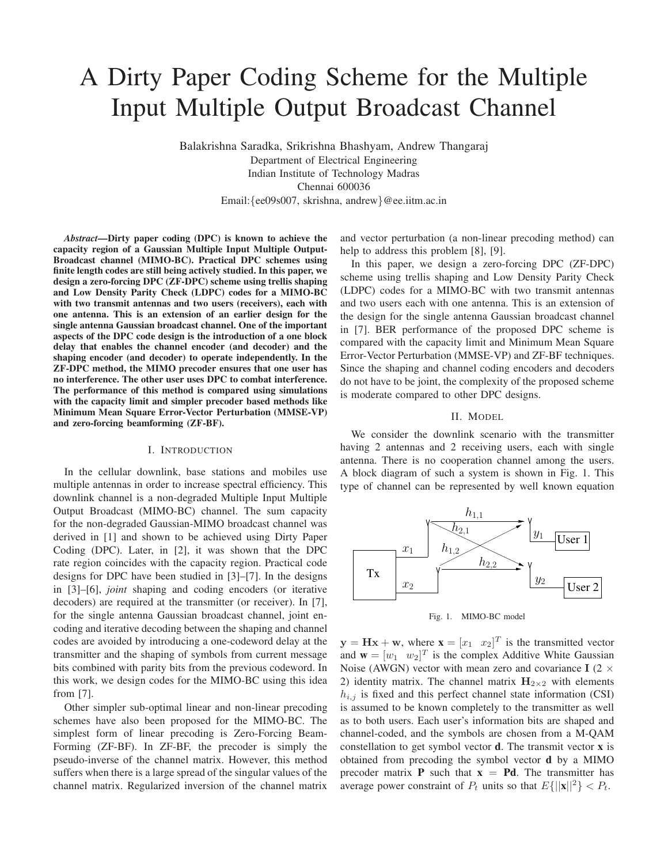# A Dirty Paper Coding Scheme for the Multiple Input Multiple Output Broadcast Channel

Balakrishna Saradka, Srikrishna Bhashyam, Andrew Thangaraj Department of Electrical Engineering Indian Institute of Technology Madras Chennai 600036 Email:{ee09s007, skrishna, andrew}@ee.iitm.ac.in

*Abstract***—Dirty paper coding (DPC) is known to achieve the capacity region of a Gaussian Multiple Input Multiple Output-Broadcast channel (MIMO-BC). Practical DPC schemes using finite length codes are still being actively studied. In this paper, we design a zero-forcing DPC (ZF-DPC) scheme using trellis shaping and Low Density Parity Check (LDPC) codes for a MIMO-BC with two transmit antennas and two users (receivers), each with one antenna. This is an extension of an earlier design for the single antenna Gaussian broadcast channel. One of the important aspects of the DPC code design is the introduction of a one block delay that enables the channel encoder (and decoder) and the shaping encoder (and decoder) to operate independently. In the ZF-DPC method, the MIMO precoder ensures that one user has no interference. The other user uses DPC to combat interference. The performance of this method is compared using simulations with the capacity limit and simpler precoder based methods like Minimum Mean Square Error-Vector Perturbation (MMSE-VP) and zero-forcing beamforming (ZF-BF).**

#### I. INTRODUCTION

In the cellular downlink, base stations and mobiles use multiple antennas in order to increase spectral efficiency. This downlink channel is a non-degraded Multiple Input Multiple Output Broadcast (MIMO-BC) channel. The sum capacity for the non-degraded Gaussian-MIMO broadcast channel was derived in [1] and shown to be achieved using Dirty Paper Coding (DPC). Later, in [2], it was shown that the DPC rate region coincides with the capacity region. Practical code designs for DPC have been studied in [3]–[7]. In the designs in [3]–[6], *joint* shaping and coding encoders (or iterative decoders) are required at the transmitter (or receiver). In [7], for the single antenna Gaussian broadcast channel, joint encoding and iterative decoding between the shaping and channel codes are avoided by introducing a one-codeword delay at the transmitter and the shaping of symbols from current message bits combined with parity bits from the previous codeword. In this work, we design codes for the MIMO-BC using this idea from [7].

Other simpler sub-optimal linear and non-linear precoding schemes have also been proposed for the MIMO-BC. The simplest form of linear precoding is Zero-Forcing Beam-Forming (ZF-BF). In ZF-BF, the precoder is simply the pseudo-inverse of the channel matrix. However, this method suffers when there is a large spread of the singular values of the channel matrix. Regularized inversion of the channel matrix and vector perturbation (a non-linear precoding method) can help to address this problem [8], [9].

In this paper, we design a zero-forcing DPC (ZF-DPC) scheme using trellis shaping and Low Density Parity Check (LDPC) codes for a MIMO-BC with two transmit antennas and two users each with one antenna. This is an extension of the design for the single antenna Gaussian broadcast channel in [7]. BER performance of the proposed DPC scheme is compared with the capacity limit and Minimum Mean Square Error-Vector Perturbation (MMSE-VP) and ZF-BF techniques. Since the shaping and channel coding encoders and decoders do not have to be joint, the complexity of the proposed scheme is moderate compared to other DPC designs.

#### II. MODEL

We consider the downlink scenario with the transmitter having 2 antennas and 2 receiving users, each with single antenna. There is no cooperation channel among the users. A block diagram of such a system is shown in Fig. 1. This type of channel can be represented by well known equation



Fig. 1. MIMO-BC model

 $y = Hx + w$ , where  $x = \begin{bmatrix} x_1 & x_2 \end{bmatrix}^T$  is the transmitted vector and  $\mathbf{w} = [w_1 \ w_2]^T$  is the complex Additive White Gaussian Noise (AWGN) vector with mean zero and covariance I (2  $\times$ 2) identity matrix. The channel matrix  $H_{2\times 2}$  with elements  $h_{i,j}$  is fixed and this perfect channel state information (CSI) is assumed to be known completely to the transmitter as well as to both users. Each user's information bits are shaped and channel-coded, and the symbols are chosen from a M-QAM constellation to get symbol vector **d**. The transmit vector **x** is obtained from precoding the symbol vector **d** by a MIMO precoder matrix **P** such that  $x = Pd$ . The transmitter has average power constraint of  $P_t$  units so that  $E\{||\mathbf{x}||^2\} < P_t$ .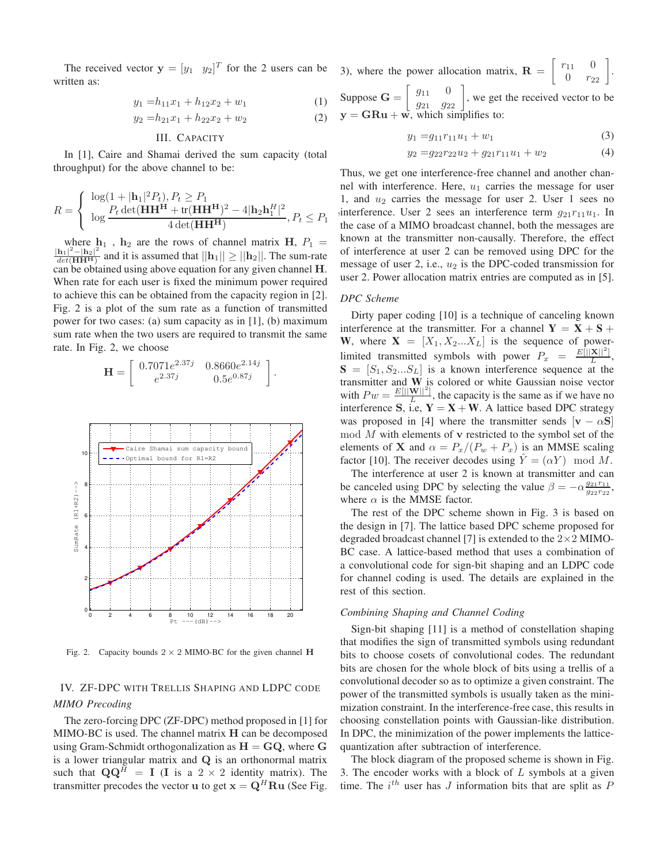The received vector  $y = [y_1 \ y_2]^T$  for the 2 users can be written as:

$$
y_1 = h_{11}x_1 + h_{12}x_2 + w_1 \tag{1}
$$

$$
y_2 = h_{21}x_1 + h_{22}x_2 + w_2 \tag{2}
$$

### III. CAPACITY

In [1], Caire and Shamai derived the sum capacity (total throughput) for the above channel to be:

$$
R = \begin{cases} \log(1+|\mathbf{h}_1|^2 P_t), P_t \ge P_1 \\ \log \frac{P_t \det(\mathbf{H} \mathbf{H}^{\mathbf{H}} + \text{tr}(\mathbf{H} \mathbf{H}^{\mathbf{H}})^2 - 4|\mathbf{h}_2 \mathbf{h}_1^H|^2}{4 \det(\mathbf{H} \mathbf{H}^{\mathbf{H}})}, P_t \le P_1 \end{cases}
$$

where  $h_1$ ,  $h_2$  are the rows of channel matrix  $H$ ,  $P_1$  =  $|h_1|^2 - |h_2|^2$  $\frac{\mathbf{n}_1 \cdot \mathbf{n}_2}{\det(\mathbf{H} \mathbf{H}^H)}$  and it is assumed that  $||\mathbf{h}_1|| \ge ||\mathbf{h}_2||$ . The sum-rate can be obtained using above equation for any given channel H. When rate for each user is fixed the minimum power required to achieve this can be obtained from the capacity region in [2]. Fig. 2 is a plot of the sum rate as a function of transmitted power for two cases: (a) sum capacity as in [1], (b) maximum sum rate when the two users are required to transmit the same rate. In Fig. 2, we choose

$$
\mathbf{H} = \begin{bmatrix} 0.7071e^{2.37j} & 0.8660e^{2.14j} \\ e^{2.37j} & 0.5e^{0.87j} \end{bmatrix}.
$$



Fig. 2. Capacity bounds  $2 \times 2$  MIMO-BC for the given channel H

# IV. ZF-DPC WITH TRELLIS SHAPING AND LDPC CODE *MIMO Precoding*

The zero-forcing DPC (ZF-DPC) method proposed in [1] for  $MIMO-BC$  is used. The channel matrix  $H$  can be decomposed using Gram-Schmidt orthogonalization as  $H = GQ$ , where G is a lower triangular matrix and Q is an orthonormal matrix such that  $\mathbf{Q}\mathbf{Q}^H = \mathbf{I}$  (I is a 2 × 2 identity matrix). The transmitter precodes the vector **u** to get  $\mathbf{x} = \mathbf{Q}^H \mathbf{R} \mathbf{u}$  (See Fig. 3), where the power allocation matrix,  $\mathbf{R} = \begin{bmatrix} r_{11} & 0 \\ 0 & r_{22} \end{bmatrix}$ . Suppose  $\mathbf{G} = \begin{bmatrix} g_{11} & 0 \\ g_{21} & g_{22} \end{bmatrix}$ , we get the received vector to be  $y = GRu + w$ , which simplifies to:

$$
y_1 = g_{11}r_{11}u_1 + w_1 \tag{3}
$$

$$
y_2 = g_{22}r_{22}u_2 + g_{21}r_{11}u_1 + w_2 \tag{4}
$$

, interference. User 2 sees an interference term  $g_{21}r_{11}u_1$ . In Thus, we get one interference-free channel and another channel with interference. Here,  $u_1$  carries the message for user 1, and  $u_2$  carries the message for user 2. User 1 sees no the case of a MIMO broadcast channel, both the messages are known at the transmitter non-causally. Therefore, the effect of interference at user 2 can be removed using DPC for the message of user 2, i.e.,  $u_2$  is the DPC-coded transmission for user 2. Power allocation matrix entries are computed as in [5].

# *DPC Scheme*

Dirty paper coding [10] is a technique of canceling known interference at the transmitter. For a channel  $Y = X + S +$ **W**, where  $X = [X_1, X_2...X_L]$  is the sequence of powerlimited transmitted symbols with power  $P_x = \frac{E[||\mathbf{X}||^2]}{L}$  $\frac{\mathbf{A} \parallel \ \cdot \ \cdot }{L},$  $S = [S_1, S_2...S_L]$  is a known interference sequence at the transmitter and **W** is colored or white Gaussian noise vector with  $P w = \frac{E[||\mathbf{W}||^2]}{L}$  $\frac{W||}{L}$ , the capacity is the same as if we have no interference **S**, i.e,  $Y = X + W$ . A lattice based DPC strategy was proposed in [4] where the transmitter sends  $[v - \alpha S]$  $\mod M$  with elements of v restricted to the symbol set of the elements of **X** and  $\alpha = P_x/(P_w + P_x)$  is an MMSE scaling factor [10]. The receiver decodes using  $\hat{Y} = (\alpha Y) \mod M$ .

The interference at user 2 is known at transmitter and can be canceled using DPC by selecting the value  $\beta = -\alpha \frac{g_{21}r_{11}}{g_{22}r_{22}}$ , where  $\alpha$  is the MMSE factor.

The rest of the DPC scheme shown in Fig. 3 is based on the design in [7]. The lattice based DPC scheme proposed for degraded broadcast channel [7] is extended to the  $2 \times 2$  MIMO-BC case. A lattice-based method that uses a combination of a convolutional code for sign-bit shaping and an LDPC code for channel coding is used. The details are explained in the rest of this section.

#### *Combining Shaping and Channel Coding*

Sign-bit shaping [11] is a method of constellation shaping that modifies the sign of transmitted symbols using redundant bits to choose cosets of convolutional codes. The redundant bits are chosen for the whole block of bits using a trellis of a convolutional decoder so as to optimize a given constraint. The power of the transmitted symbols is usually taken as the minimization constraint. In the interference-free case, this results in choosing constellation points with Gaussian-like distribution. In DPC, the minimization of the power implements the latticequantization after subtraction of interference.

The block diagram of the proposed scheme is shown in Fig. 3. The encoder works with a block of  $L$  symbols at a given time. The  $i^{th}$  user has J information bits that are split as  $P$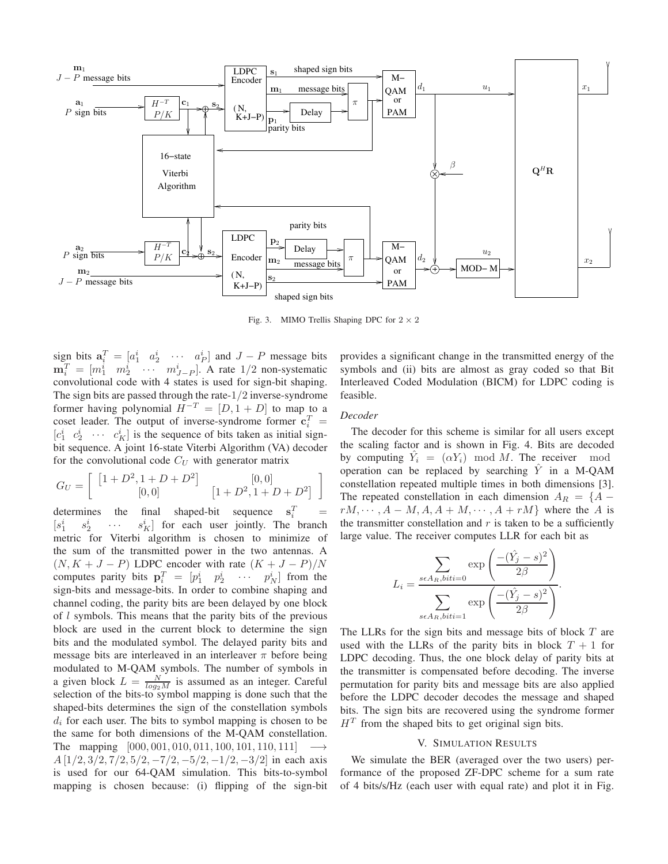

Fig. 3. MIMO Trellis Shaping DPC for  $2 \times 2$ 

sign bits  $\mathbf{a}_i^T = \begin{bmatrix} a_1^i & a_2^i & \cdots & a_P^i \end{bmatrix}$  and  $J - P$  message bits  $\mathbf{m}_i^T = [m_1^i \quad m_2^i \quad \cdots \quad m_{J-P}^i]$ . A rate 1/2 non-systematic convolutional code with 4 states is used for sign-bit shaping. The sign bits are passed through the rate-1/2 inverse-syndrome former having polynomial  $H^{-T} = [D, 1 + D]$  to map to a coset leader. The output of inverse-syndrome former  $\mathbf{c}_i^T =$  $[c_1^i \quad c_2^i \quad \cdots \quad c_K^i]$  is the sequence of bits taken as initial signbit sequence. A joint 16-state Viterbi Algorithm (VA) decoder for the convolutional code  $C_U$  with generator matrix

$$
G_U = \left[ \begin{array}{cc} \left[ 1 + D^2, 1 + D + D^2 \right] & \left[ 0, 0 \right] \\ \left[ 0, 0 \right] & \left[ 1 + D^2, 1 + D + D^2 \right] \end{array} \right]
$$

determines the final shaped-bit sequence  $\begin{matrix} T \\ i \end{matrix}$  =  $[s_1^i$  $s_2^i$  $\sim$   $\sim$   $\sim$  $\begin{bmatrix} i \\ K \end{bmatrix}$  for each user jointly. The branch metric for Viterbi algorithm is chosen to minimize of the sum of the transmitted power in the two antennas. A  $(N, K + J - P)$  LDPC encoder with rate  $(K + J - P)/N$ computes parity bits  $\mathbf{p}_i^T = \begin{bmatrix} p_1^i & p_2^i & \cdots & p_N^i \end{bmatrix}$  from the sign-bits and message-bits. In order to combine shaping and channel coding, the parity bits are been delayed by one block of l symbols. This means that the parity bits of the previous block are used in the current block to determine the sign bits and the modulated symbol. The delayed parity bits and message bits are interleaved in an interleaver  $\pi$  before being modulated to M-QAM symbols. The number of symbols in a given block  $L = \frac{N}{log_2 M}$  is assumed as an integer. Careful selection of the bits-to symbol mapping is done such that the shaped-bits determines the sign of the constellation symbols  $d_i$  for each user. The bits to symbol mapping is chosen to be the same for both dimensions of the M-QAM constellation. The mapping  $[000, 001, 010, 011, 100, 101, 110, 111]$   $\longrightarrow$  $A [1/2, 3/2, 7/2, 5/2, -7/2, -5/2, -1/2, -3/2]$  in each axis is used for our 64-QAM simulation. This bits-to-symbol mapping is chosen because: (i) flipping of the sign-bit provides a significant change in the transmitted energy of the symbols and (ii) bits are almost as gray coded so that Bit Interleaved Coded Modulation (BICM) for LDPC coding is feasible.

# *Decoder*

The decoder for this scheme is similar for all users except the scaling factor and is shown in Fig. 4. Bits are decoded by computing  $\hat{Y}_i = (\alpha Y_i) \mod M$ . The receiver mod operation can be replaced by searching  $\hat{Y}$  in a M-QAM constellation repeated multiple times in both dimensions [3]. The repeated constellation in each dimension  $A_R = \{A - \}$  $rM, \dots, A - M, A, A + M, \dots, A + rM$  where the A is the transmitter constellation and  $r$  is taken to be a sufficiently large value. The receiver computes LLR for each bit as

$$
L_i = \frac{\sum_{s \in A_R, biti = 0} \exp\left(\frac{-(\hat{Y}_j - s)^2}{2\beta}\right)}{\sum_{s \in A_R, biti = 1} \exp\left(\frac{-(\hat{Y}_j - s)^2}{2\beta}\right)}.
$$

The LLRs for the sign bits and message bits of block T are used with the LLRs of the parity bits in block  $T + 1$  for LDPC decoding. Thus, the one block delay of parity bits at the transmitter is compensated before decoding. The inverse permutation for parity bits and message bits are also applied before the LDPC decoder decodes the message and shaped bits. The sign bits are recovered using the syndrome former  $H<sup>T</sup>$  from the shaped bits to get original sign bits.

#### V. SIMULATION RESULTS

We simulate the BER (averaged over the two users) performance of the proposed ZF-DPC scheme for a sum rate of 4 bits/s/Hz (each user with equal rate) and plot it in Fig.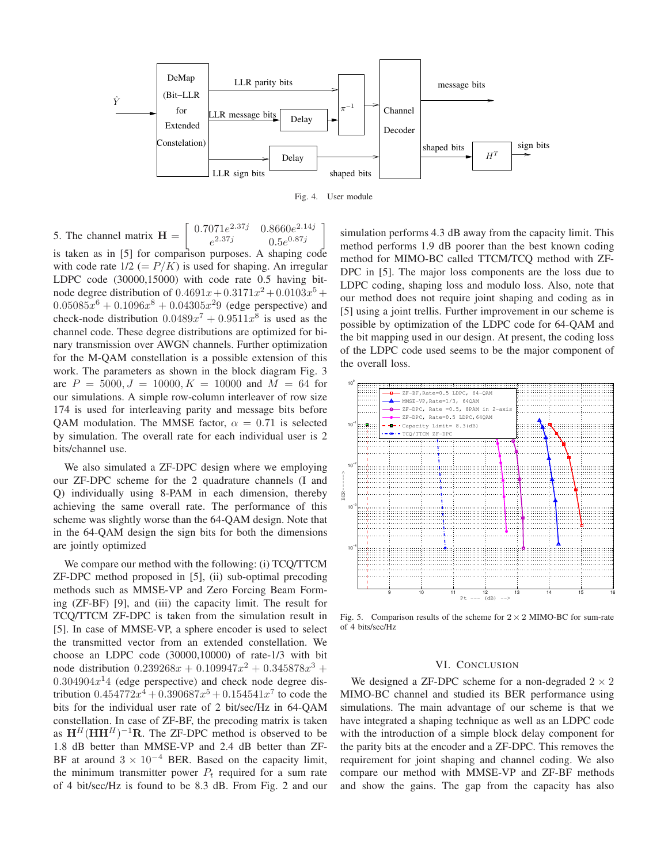

Fig. 4. User module

5. The channel matrix  $H =$ f  $0.7071e^{2.37j}$ 2.37*j* 0.8660 $e^{2.14j}$  $e^{2.37j}$ 2.37*j* 0.5 $e^{0.87j}$ 1 is taken as in [5] for comparison purposes. A shaping code with code rate  $1/2 (= P/K)$  is used for shaping. An irregular LDPC code (30000,15000) with code rate 0.5 having bitnode degree distribution of  $0.4691x + 0.3171x^2 + 0.0103x^5 +$  $0.05085x^{6} + 0.1096x^{8} + 0.04305x^{2}9$  (edge perspective) and check-node distribution  $0.0489x^7 + 0.9511x^8$  is used as the channel code. These degree distributions are optimized for binary transmission over AWGN channels. Further optimization for the M-QAM constellation is a possible extension of this work. The parameters as shown in the block diagram Fig. 3 are  $P = 5000, J = 10000, K = 10000$  and  $M = 64$  for our simulations. A simple row-column interleaver of row size 174 is used for interleaving parity and message bits before OAM modulation. The MMSE factor,  $\alpha = 0.71$  is selected by simulation. The overall rate for each individual user is 2 bits/channel use.

We also simulated a ZF-DPC design where we employing our ZF-DPC scheme for the 2 quadrature channels (I and Q) individually using 8-PAM in each dimension, thereby achieving the same overall rate. The performance of this scheme was slightly worse than the 64-QAM design. Note that in the 64-QAM design the sign bits for both the dimensions are jointly optimized

We compare our method with the following: (i) TCQ/TTCM ZF-DPC method proposed in [5], (ii) sub-optimal precoding methods such as MMSE-VP and Zero Forcing Beam Forming (ZF-BF) [9], and (iii) the capacity limit. The result for TCQ/TTCM ZF-DPC is taken from the simulation result in [5]. In case of MMSE-VP, a sphere encoder is used to select the transmitted vector from an extended constellation. We choose an LDPC code (30000,10000) of rate-1/3 with bit node distribution  $0.239268x + 0.109947x^2 + 0.345878x^3 +$  $0.304904x<sup>1</sup>4$  (edge perspective) and check node degree distribution  $0.454772x^4 + 0.390687x^5 + 0.154541x^7$  to code the bits for the individual user rate of 2 bit/sec/Hz in 64-QAM constellation. In case of ZF-BF, the precoding matrix is taken as  $H^H(HH^H)^{-1}R$ . The ZF-DPC method is observed to be 1.8 dB better than MMSE-VP and 2.4 dB better than ZF-BF at around  $3 \times 10^{-4}$  BER. Based on the capacity limit, the minimum transmitter power  $P_t$  required for a sum rate of 4 bit/sec/Hz is found to be 8.3 dB. From Fig. 2 and our

simulation performs 4.3 dB away from the capacity limit. This method performs 1.9 dB poorer than the best known coding method for MIMO-BC called TTCM/TCQ method with ZF-DPC in [5]. The major loss components are the loss due to LDPC coding, shaping loss and modulo loss. Also, note that our method does not require joint shaping and coding as in [5] using a joint trellis. Further improvement in our scheme is possible by optimization of the LDPC code for 64-QAM and the bit mapping used in our design. At present, the coding loss of the LDPC code used seems to be the major component of the overall loss.



Fig. 5. Comparison results of the scheme for  $2 \times 2$  MIMO-BC for sum-rate of 4 bits/sec/Hz

# VI. CONCLUSION

We designed a ZF-DPC scheme for a non-degraded  $2 \times 2$ MIMO-BC channel and studied its BER performance using simulations. The main advantage of our scheme is that we have integrated a shaping technique as well as an LDPC code with the introduction of a simple block delay component for the parity bits at the encoder and a ZF-DPC. This removes the requirement for joint shaping and channel coding. We also compare our method with MMSE-VP and ZF-BF methods and show the gains. The gap from the capacity has also